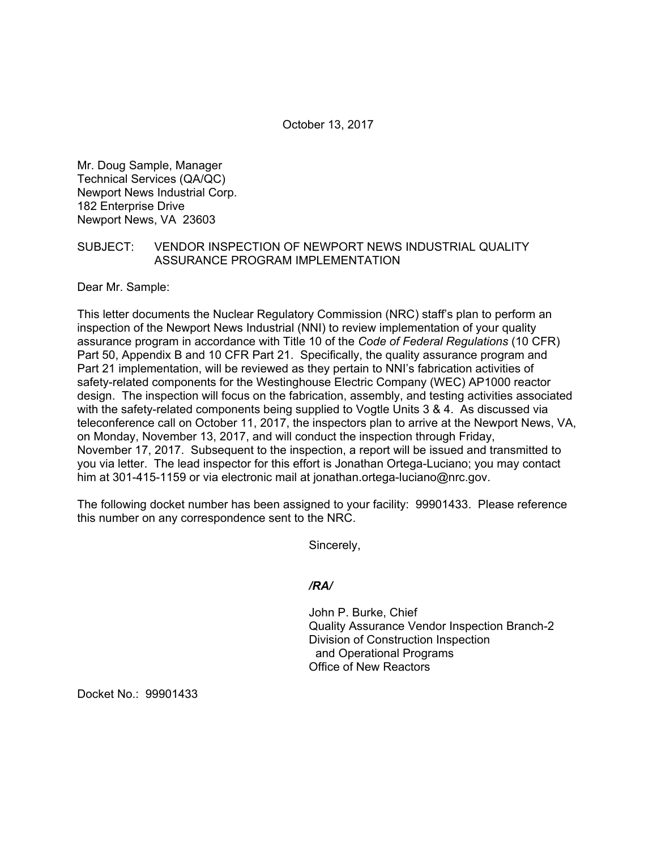October 13, 2017

Mr. Doug Sample, Manager Technical Services (QA/QC) Newport News Industrial Corp. 182 Enterprise Drive Newport News, VA 23603

### SUBJECT: VENDOR INSPECTION OF NEWPORT NEWS INDUSTRIAL QUALITY ASSURANCE PROGRAM IMPLEMENTATION

Dear Mr. Sample:

This letter documents the Nuclear Regulatory Commission (NRC) staff's plan to perform an inspection of the Newport News Industrial (NNI) to review implementation of your quality assurance program in accordance with Title 10 of the *Code of Federal Regulations* (10 CFR) Part 50, Appendix B and 10 CFR Part 21. Specifically, the quality assurance program and Part 21 implementation, will be reviewed as they pertain to NNI's fabrication activities of safety-related components for the Westinghouse Electric Company (WEC) AP1000 reactor design. The inspection will focus on the fabrication, assembly, and testing activities associated with the safety-related components being supplied to Vogtle Units 3 & 4. As discussed via teleconference call on October 11, 2017, the inspectors plan to arrive at the Newport News, VA, on Monday, November 13, 2017, and will conduct the inspection through Friday, November 17, 2017. Subsequent to the inspection, a report will be issued and transmitted to you via letter. The lead inspector for this effort is Jonathan Ortega-Luciano; you may contact him at 301-415-1159 or via electronic mail at jonathan.ortega-luciano@nrc.gov.

The following docket number has been assigned to your facility: 99901433. Please reference this number on any correspondence sent to the NRC.

Sincerely,

## */RA/*

John P. Burke, Chief Quality Assurance Vendor Inspection Branch-2 Division of Construction Inspection and Operational Programs Office of New Reactors

Docket No.: 99901433